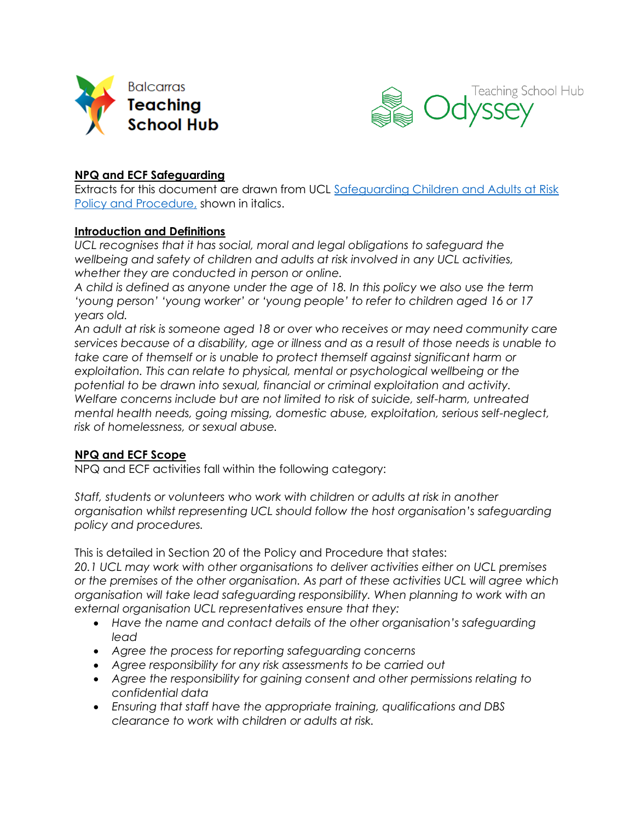



### **NPQ and ECF Safeguarding**

Extracts for this document are drawn from UCL [Safeguarding Children and Adults at Risk](https://www.ucl.ac.uk/human-resources/safeguarding-children-and-adults-risk-policy-and-procedure-staff-and-students)  [Policy and Procedure,](https://www.ucl.ac.uk/human-resources/safeguarding-children-and-adults-risk-policy-and-procedure-staff-and-students) shown in italics.

#### **Introduction and Definitions**

UCL recognises that it has social, moral and legal obligations to safeguard the *wellbeing and safety of children and adults at risk involved in any UCL activities, whether they are conducted in person or online.*

*A child is defined as anyone under the age of 18. In this policy we also use the term 'young person' 'young worker' or 'young people' to refer to children aged 16 or 17 years old.*

*An adult at risk is someone aged 18 or over who receives or may need community care services because of a disability, age or illness and as a result of those needs is unable to take care of themself or is unable to protect themself against significant harm or exploitation. This can relate to physical, mental or psychological wellbeing or the potential to be drawn into sexual, financial or criminal exploitation and activity. Welfare concerns include but are not limited to risk of suicide, self-harm, untreated mental health needs, going missing, domestic abuse, exploitation, serious self-neglect, risk of homelessness, or sexual abuse.*

### **NPQ and ECF Scope**

NPQ and ECF activities fall within the following category:

*Staff, students or volunteers who work with children or adults at risk in another organisation whilst representing UCL should follow the host organisation's safeguarding policy and procedures.*

This is detailed in Section 20 of the Policy and Procedure that states:

*20.1 UCL may work with other organisations to deliver activities either on UCL premises or the premises of the other organisation. As part of these activities UCL will agree which organisation will take lead safeguarding responsibility. When planning to work with an external organisation UCL representatives ensure that they:*

- *Have the name and contact details of the other organisation's safeguarding lead*
- *Agree the process for reporting safeguarding concerns*
- *Agree responsibility for any risk assessments to be carried out*
- *Agree the responsibility for gaining consent and other permissions relating to confidential data*
- *Ensuring that staff have the appropriate training, qualifications and DBS clearance to work with children or adults at risk.*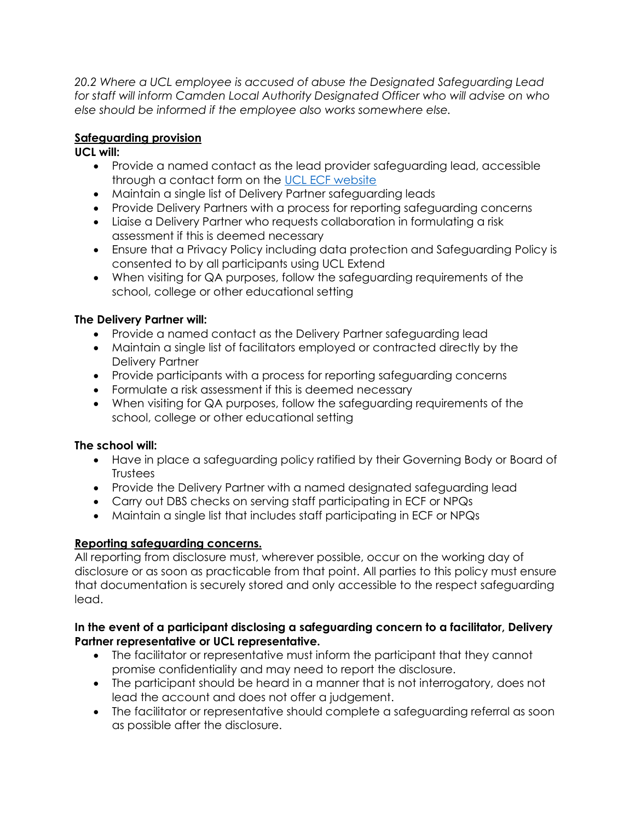*20.2 Where a UCL employee is accused of abuse the Designated Safeguarding Lead for staff will inform Camden Local Authority Designated Officer who will advise on who else should be informed if the employee also works somewhere else.*

## **Safeguarding provision**

### **UCL will:**

- Provide a named contact as the lead provider safeguarding lead, accessible through a contact form on the [UCL ECF website](https://www.ucl.ac.uk/ioe/departments-and-centres/departments/learning-and-leadership/early-career-framework)
- Maintain a single list of Delivery Partner safeguarding leads
- Provide Delivery Partners with a process for reporting safeguarding concerns
- Liaise a Delivery Partner who requests collaboration in formulating a risk assessment if this is deemed necessary
- Ensure that a Privacy Policy including data protection and Safeguarding Policy is consented to by all participants using UCL Extend
- When visiting for QA purposes, follow the safeguarding requirements of the school, college or other educational setting

# **The Delivery Partner will:**

- Provide a named contact as the Delivery Partner safeguarding lead
- Maintain a single list of facilitators employed or contracted directly by the Delivery Partner
- Provide participants with a process for reporting safeguarding concerns
- Formulate a risk assessment if this is deemed necessary
- When visiting for QA purposes, follow the safeguarding requirements of the school, college or other educational setting

### **The school will:**

- Have in place a safeguarding policy ratified by their Governing Body or Board of **Trustees**
- Provide the Delivery Partner with a named designated safeguarding lead
- Carry out DBS checks on serving staff participating in ECF or NPQs
- Maintain a single list that includes staff participating in ECF or NPQs

# **Reporting safeguarding concerns.**

All reporting from disclosure must, wherever possible, occur on the working day of disclosure or as soon as practicable from that point. All parties to this policy must ensure that documentation is securely stored and only accessible to the respect safeguarding lead.

### **In the event of a participant disclosing a safeguarding concern to a facilitator, Delivery Partner representative or UCL representative.**

- The facilitator or representative must inform the participant that they cannot promise confidentiality and may need to report the disclosure.
- The participant should be heard in a manner that is not interrogatory, does not lead the account and does not offer a judgement.
- The facilitator or representative should complete a safeguarding referral as soon as possible after the disclosure.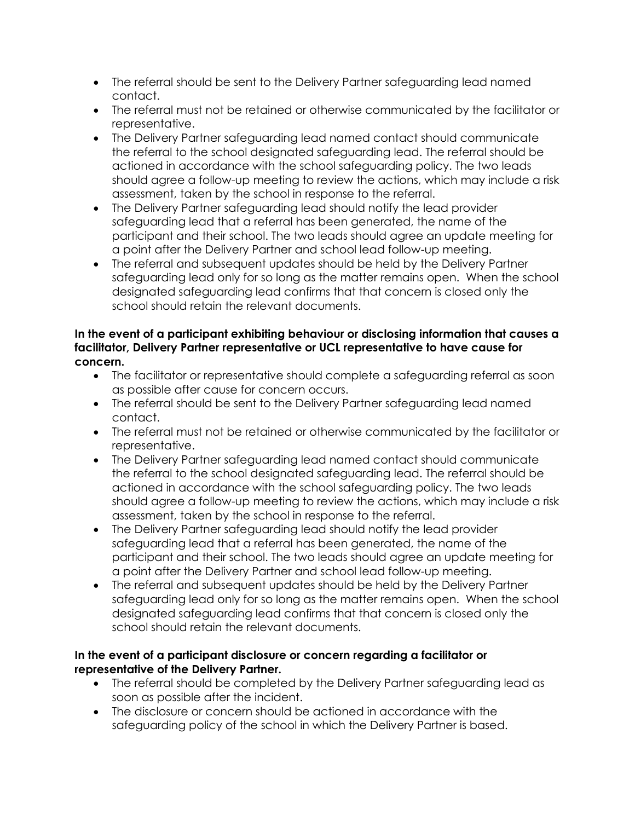- The referral should be sent to the Delivery Partner safeguarding lead named contact.
- The referral must not be retained or otherwise communicated by the facilitator or representative.
- The Delivery Partner safeguarding lead named contact should communicate the referral to the school designated safeguarding lead. The referral should be actioned in accordance with the school safeguarding policy. The two leads should agree a follow-up meeting to review the actions, which may include a risk assessment, taken by the school in response to the referral.
- The Delivery Partner safeguarding lead should notify the lead provider safeguarding lead that a referral has been generated, the name of the participant and their school. The two leads should agree an update meeting for a point after the Delivery Partner and school lead follow-up meeting.
- The referral and subsequent updates should be held by the Delivery Partner safeguarding lead only for so long as the matter remains open. When the school designated safeguarding lead confirms that that concern is closed only the school should retain the relevant documents.

### **In the event of a participant exhibiting behaviour or disclosing information that causes a facilitator, Delivery Partner representative or UCL representative to have cause for concern.**

- The facilitator or representative should complete a safeguarding referral as soon as possible after cause for concern occurs.
- The referral should be sent to the Delivery Partner safeguarding lead named contact.
- The referral must not be retained or otherwise communicated by the facilitator or representative.
- The Delivery Partner safeguarding lead named contact should communicate the referral to the school designated safeguarding lead. The referral should be actioned in accordance with the school safeguarding policy. The two leads should agree a follow-up meeting to review the actions, which may include a risk assessment, taken by the school in response to the referral.
- The Delivery Partner safeguarding lead should notify the lead provider safeguarding lead that a referral has been generated, the name of the participant and their school. The two leads should agree an update meeting for a point after the Delivery Partner and school lead follow-up meeting.
- The referral and subsequent updates should be held by the Delivery Partner safeguarding lead only for so long as the matter remains open. When the school designated safeguarding lead confirms that that concern is closed only the school should retain the relevant documents.

### **In the event of a participant disclosure or concern regarding a facilitator or representative of the Delivery Partner.**

- The referral should be completed by the Delivery Partner safeguarding lead as soon as possible after the incident.
- The disclosure or concern should be actioned in accordance with the safeguarding policy of the school in which the Delivery Partner is based.